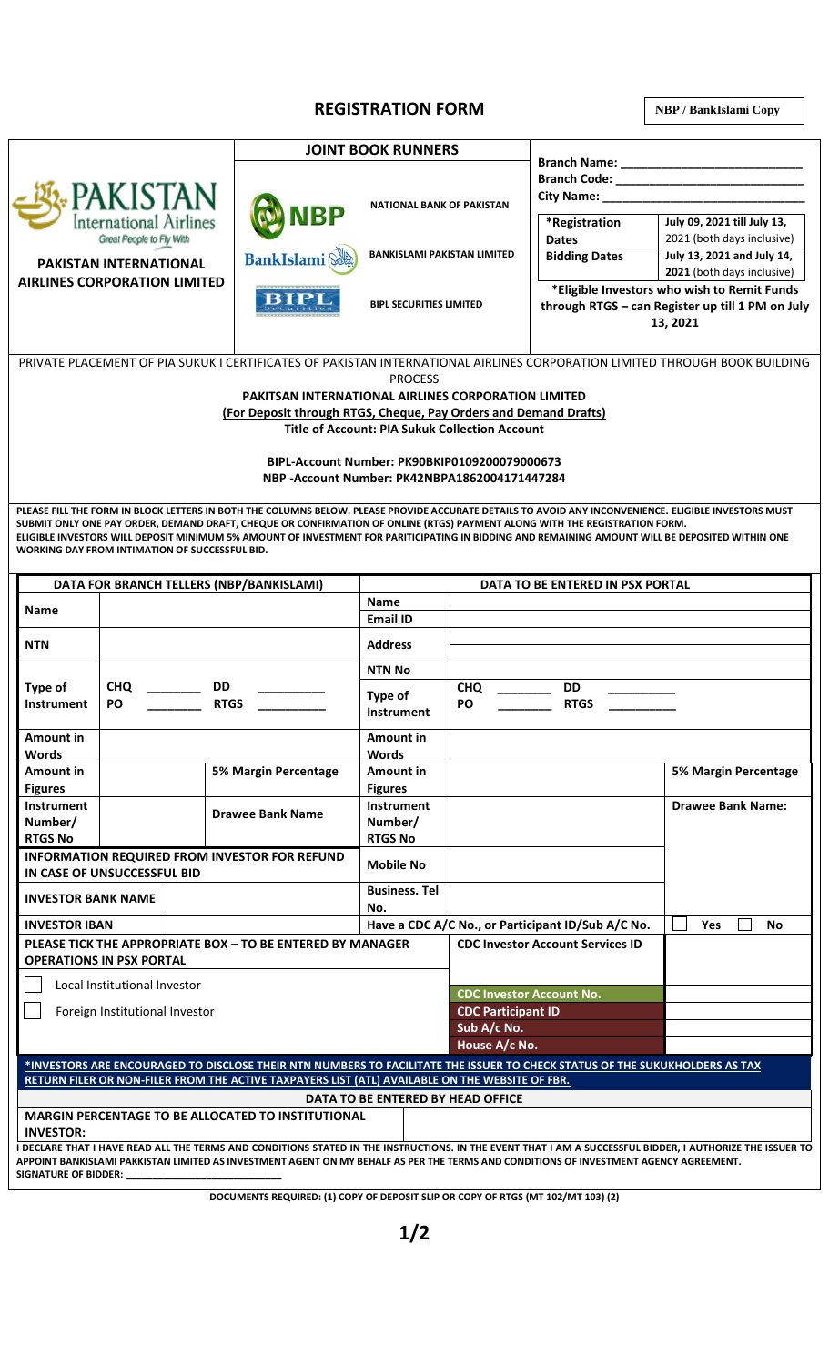## **REGISTRATION FORM**

**NBP / BankIslami Copy**

|                                                                              | <b>JOINT BOOK RUNNERS</b>            |                                    |                                                                                                             |                                                           |
|------------------------------------------------------------------------------|--------------------------------------|------------------------------------|-------------------------------------------------------------------------------------------------------------|-----------------------------------------------------------|
| <b>PAKISTAN</b><br><b>International Airlines</b><br>Great People to Fly With | <b>D</b> NBP                         | <b>NATIONAL BANK OF PAKISTAN</b>   | <b>Branch Name:</b><br><b>Branch Code:</b><br><b>City Name:</b>                                             |                                                           |
|                                                                              |                                      |                                    | *Registration<br><b>Dates</b>                                                                               | July 09, 2021 till July 13,<br>2021 (both days inclusive) |
| <b>PAKISTAN INTERNATIONAL</b>                                                | <b>BankIslami</b>                    | <b>BANKISLAMI PAKISTAN LIMITED</b> | <b>Bidding Dates</b>                                                                                        | July 13, 2021 and July 14,<br>2021 (both days inclusive)  |
| <b>AIRLINES CORPORATION LIMITED</b>                                          | *********************<br><b>BIPL</b> | <b>BIPL SECURITIES LIMITED</b>     | *Eligible Investors who wish to Remit Funds<br>through RTGS - can Register up till 1 PM on July<br>13, 2021 |                                                           |

PRIVATE PLACEMENT OF PIA SUKUK I CERTIFICATES OF PAKISTAN INTERNATIONAL AIRLINES CORPORATION LIMITED THROUGH BOOK BUILDING PROCESS

**PAKITSAN INTERNATIONAL AIRLINES CORPORATION LIMITED**

**(For Deposit through RTGS, Cheque, Pay Orders and Demand Drafts)**

**Title of Account: PIA Sukuk Collection Account**

**BIPL-Account Number: PK90BKIP0109200079000673 NBP -Account Number: PK42NBPA1862004171447284**

**PLEASE FILL THE FORM IN BLOCK LETTERS IN BOTH THE COLUMNS BELOW. PLEASE PROVIDE ACCURATE DETAILS TO AVOID ANY INCONVENIENCE. ELIGIBLE INVESTORS MUST SUBMIT ONLY ONE PAY ORDER, DEMAND DRAFT, CHEQUE OR CONFIRMATION OF ONLINE (RTGS) PAYMENT ALONG WITH THE REGISTRATION FORM. ELIGIBLE INVESTORS WILL DEPOSIT MINIMUM 5% AMOUNT OF INVESTMENT FOR PARITICIPATING IN BIDDING AND REMAINING AMOUNT WILL BE DEPOSITED WITHIN ONE WORKING DAY FROM INTIMATION OF SUCCESSFUL BID.**

| DATA FOR BRANCH TELLERS (NBP/BANKISLAMI)                                                                                                                             |                                                     | DATA TO BE ENTERED IN PSX PORTAL |                                                   |                                              |                             |
|----------------------------------------------------------------------------------------------------------------------------------------------------------------------|-----------------------------------------------------|----------------------------------|---------------------------------------------------|----------------------------------------------|-----------------------------|
| <b>Name</b>                                                                                                                                                          |                                                     |                                  | <b>Name</b>                                       |                                              |                             |
|                                                                                                                                                                      |                                                     |                                  | <b>Email ID</b>                                   |                                              |                             |
| <b>NTN</b>                                                                                                                                                           |                                                     |                                  | <b>Address</b>                                    |                                              |                             |
|                                                                                                                                                                      |                                                     |                                  | <b>NTN No</b>                                     |                                              |                             |
| <b>Type of</b><br><b>Instrument</b>                                                                                                                                  | <b>CHQ</b><br><b>DD</b><br><b>RTGS</b><br><b>PO</b> |                                  | <b>Type of</b><br><b>Instrument</b>               | <b>DD</b><br><b>CHQ</b><br>PO<br><b>RTGS</b> |                             |
| Amount in<br>Words                                                                                                                                                   |                                                     |                                  | Amount in<br>Words                                |                                              |                             |
| Amount in                                                                                                                                                            |                                                     | <b>5% Margin Percentage</b>      | Amount in                                         |                                              | <b>5% Margin Percentage</b> |
| <b>Figures</b>                                                                                                                                                       |                                                     |                                  | <b>Figures</b>                                    |                                              |                             |
| <b>Instrument</b>                                                                                                                                                    |                                                     |                                  | Instrument                                        |                                              | <b>Drawee Bank Name:</b>    |
| Number/                                                                                                                                                              |                                                     | <b>Drawee Bank Name</b>          | Number/                                           |                                              |                             |
| <b>RTGS No</b>                                                                                                                                                       |                                                     |                                  | <b>RTGS No</b>                                    |                                              |                             |
| <b>INFORMATION REQUIRED FROM INVESTOR FOR REFUND</b><br>IN CASE OF UNSUCCESSFUL BID                                                                                  |                                                     | <b>Mobile No</b>                 |                                                   |                                              |                             |
| <b>INVESTOR BANK NAME</b>                                                                                                                                            |                                                     | <b>Business. Tel</b>             |                                                   |                                              |                             |
|                                                                                                                                                                      |                                                     | No.                              |                                                   |                                              |                             |
| <b>INVESTOR IBAN</b>                                                                                                                                                 |                                                     |                                  | Have a CDC A/C No., or Participant ID/Sub A/C No. | Yes<br>No                                    |                             |
| PLEASE TICK THE APPROPRIATE BOX - TO BE ENTERED BY MANAGER<br><b>OPERATIONS IN PSX PORTAL</b>                                                                        |                                                     |                                  |                                                   | <b>CDC Investor Account Services ID</b>      |                             |
| Local Institutional Investor                                                                                                                                         |                                                     |                                  |                                                   |                                              |                             |
|                                                                                                                                                                      |                                                     |                                  |                                                   | <b>CDC Investor Account No.</b>              |                             |
| Foreign Institutional Investor                                                                                                                                       |                                                     |                                  | <b>CDC Participant ID</b>                         |                                              |                             |
|                                                                                                                                                                      |                                                     |                                  |                                                   | Sub A/c No.                                  |                             |
|                                                                                                                                                                      |                                                     |                                  | House A/c No.                                     |                                              |                             |
| *INVESTORS ARE ENCOURAGED TO DISCLOSE THEIR NTN NUMBERS TO FACILITATE THE ISSUER TO CHECK STATUS OF THE SUKUKHOLDERS AS TAX                                          |                                                     |                                  |                                                   |                                              |                             |
| RETURN FILER OR NON-FILER FROM THE ACTIVE TAXPAYERS LIST (ATL) AVAILABLE ON THE WEBSITE OF FBR.                                                                      |                                                     |                                  |                                                   |                                              |                             |
| DATA TO BE ENTERED BY HEAD OFFICE                                                                                                                                    |                                                     |                                  |                                                   |                                              |                             |
| MARGIN PERCENTAGE TO BE ALLOCATED TO INSTITUTIONAL<br><b>INVESTOR:</b>                                                                                               |                                                     |                                  |                                                   |                                              |                             |
| I DECLARE THAT I HAVE READ ALL THE TERMS AND CONDITIONS STATED IN THE INSTRUCTIONS. IN THE EVENT THAT I AM A SUCCESSFUL BIDDER, I AUTHORIZE THE ISSUER TO            |                                                     |                                  |                                                   |                                              |                             |
| APPOINT BANKISLAMI PAKKISTAN LIMITED AS INVESTMENT AGENT ON MY BEHALF AS PER THE TERMS AND CONDITIONS OF INVESTMENT AGENCY AGREEMENT.<br><b>SIGNATURE OF BIDDER:</b> |                                                     |                                  |                                                   |                                              |                             |

**DOCUMENTS REQUIRED: (1) COPY OF DEPOSIT SLIP OR COPY OF RTGS (MT 102/MT 103) (2)**